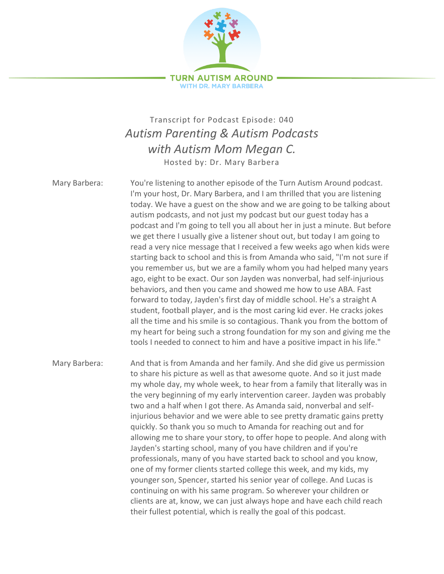

## Transcript for Podcast Episode: 040 *Autism Parenting & Autism Podcasts with Autism Mom Megan C.* Hosted by: Dr. Mary Barbera

Mary Barbera: You're listening to another episode of the Turn Autism Around podcast. I'm your host, Dr. Mary Barbera, and I am thrilled that you are listening today. We have a guest on the show and we are going to be talking about autism podcasts, and not just my podcast but our guest today has a podcast and I'm going to tell you all about her in just a minute. But before we get there I usually give a listener shout out, but today I am going to read a very nice message that I received a few weeks ago when kids were starting back to school and this is from Amanda who said, "I'm not sure if you remember us, but we are a family whom you had helped many years ago, eight to be exact. Our son Jayden was nonverbal, had self-injurious behaviors, and then you came and showed me how to use ABA. Fast forward to today, Jayden's first day of middle school. He's a straight A student, football player, and is the most caring kid ever. He cracks jokes all the time and his smile is so contagious. Thank you from the bottom of my heart for being such a strong foundation for my son and giving me the tools I needed to connect to him and have a positive impact in his life."

Mary Barbera: And that is from Amanda and her family. And she did give us permission to share his picture as well as that awesome quote. And so it just made my whole day, my whole week, to hear from a family that literally was in the very beginning of my early intervention career. Jayden was probably two and a half when I got there. As Amanda said, nonverbal and selfinjurious behavior and we were able to see pretty dramatic gains pretty quickly. So thank you so much to Amanda for reaching out and for allowing me to share your story, to offer hope to people. And along with Jayden's starting school, many of you have children and if you're professionals, many of you have started back to school and you know, one of my former clients started college this week, and my kids, my younger son, Spencer, started his senior year of college. And Lucas is continuing on with his same program. So wherever your children or clients are at, know, we can just always hope and have each child reach their fullest potential, which is really the goal of this podcast.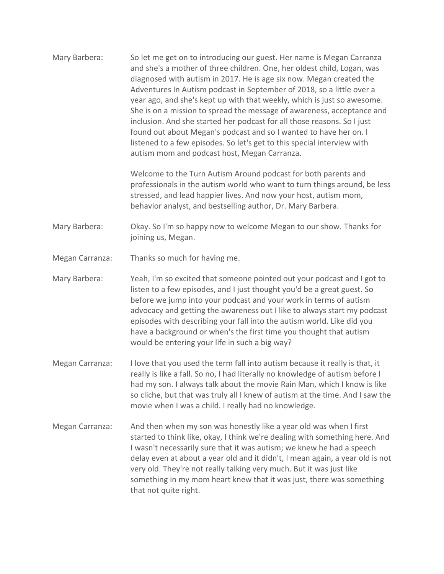Mary Barbera: So let me get on to introducing our guest. Her name is Megan Carranza and she's a mother of three children. One, her oldest child, Logan, was diagnosed with autism in 2017. He is age six now. Megan created the Adventures In Autism podcast in September of 2018, so a little over a year ago, and she's kept up with that weekly, which is just so awesome. She is on a mission to spread the message of awareness, acceptance and inclusion. And she started her podcast for all those reasons. So I just found out about Megan's podcast and so I wanted to have her on. I listened to a few episodes. So let's get to this special interview with autism mom and podcast host, Megan Carranza.

> Welcome to the Turn Autism Around podcast for both parents and professionals in the autism world who want to turn things around, be less stressed, and lead happier lives. And now your host, autism mom, behavior analyst, and bestselling author, Dr. Mary Barbera.

Mary Barbera: Okay. So I'm so happy now to welcome Megan to our show. Thanks for joining us, Megan.

- Megan Carranza: Thanks so much for having me.
- Mary Barbera: Yeah, I'm so excited that someone pointed out your podcast and I got to listen to a few episodes, and I just thought you'd be a great guest. So before we jump into your podcast and your work in terms of autism advocacy and getting the awareness out I like to always start my podcast episodes with describing your fall into the autism world. Like did you have a background or when's the first time you thought that autism would be entering your life in such a big way?
- Megan Carranza: I love that you used the term fall into autism because it really is that, it really is like a fall. So no, I had literally no knowledge of autism before I had my son. I always talk about the movie Rain Man, which I know is like so cliche, but that was truly all I knew of autism at the time. And I saw the movie when I was a child. I really had no knowledge.
- Megan Carranza: And then when my son was honestly like a year old was when I first started to think like, okay, I think we're dealing with something here. And I wasn't necessarily sure that it was autism; we knew he had a speech delay even at about a year old and it didn't, I mean again, a year old is not very old. They're not really talking very much. But it was just like something in my mom heart knew that it was just, there was something that not quite right.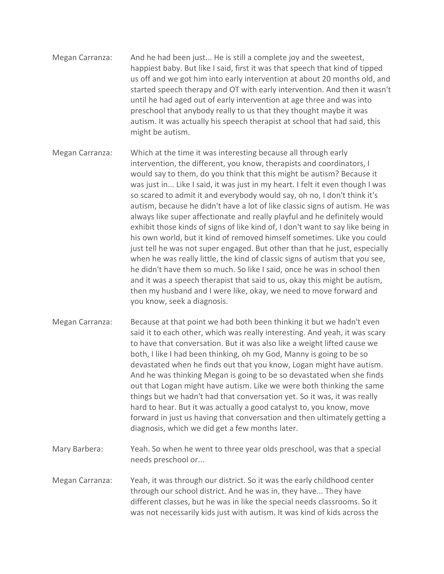- Megan Carranza: And he had been just... He is still a complete joy and the sweetest, happiest baby. But like I said, first it was that speech that kind of tipped us off and we got him into early intervention at about 20 months old, and started speech therapy and OT with early intervention. And then it wasn't until he had aged out of early intervention at age three and was into preschool that anybody really to us that they thought maybe it was autism. It was actually his speech therapist at school that had said, this might be autism.
- Megan Carranza: Which at the time it was interesting because all through early intervention, the different, you know, therapists and coordinators, I would say to them, do you think that this might be autism? Because it was just in... Like I said, it was just in my heart. I felt it even though I was so scared to admit it and everybody would say, oh no, I don't think it's autism, because he didn't have a lot of like classic signs of autism. He was always like super affectionate and really playful and he definitely would exhibit those kinds of signs of like kind of, I don't want to say like being in his own world, but it kind of removed himself sometimes. Like you could just tell he was not super engaged. But other than that he just, especially when he was really little, the kind of classic signs of autism that you see, he didn't have them so much. So like I said, once he was in school then and it was a speech therapist that said to us, okay this might be autism, then my husband and I were like, okay, we need to move forward and you know, seek a diagnosis.
- Megan Carranza: Because at that point we had both been thinking it but we hadn't even said it to each other, which was really interesting. And yeah, it was scary to have that conversation. But it was also like a weight lifted cause we both, I like I had been thinking, oh my God, Manny is going to be so devastated when he finds out that you know, Logan might have autism. And he was thinking Megan is going to be so devastated when she finds out that Logan might have autism. Like we were both thinking the same things but we hadn't had that conversation yet. So it was, it was really hard to hear. But it was actually a good catalyst to, you know, move forward in just us having that conversation and then ultimately getting a diagnosis, which we did get a few months later.
- Mary Barbera: Yeah. So when he went to three year olds preschool, was that a special needs preschool or...
- Megan Carranza: Yeah, it was through our district. So it was the early childhood center through our school district. And he was in, they have... They have different classes, but he was in like the special needs classrooms. So it was not necessarily kids just with autism. It was kind of kids across the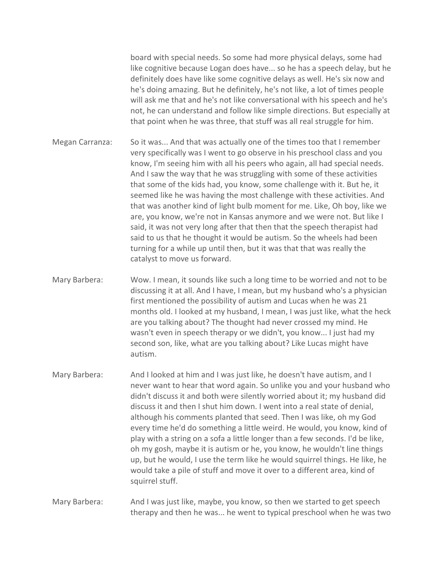board with special needs. So some had more physical delays, some had like cognitive because Logan does have... so he has a speech delay, but he definitely does have like some cognitive delays as well. He's six now and he's doing amazing. But he definitely, he's not like, a lot of times people will ask me that and he's not like conversational with his speech and he's not, he can understand and follow like simple directions. But especially at that point when he was three, that stuff was all real struggle for him.

- Megan Carranza: So it was... And that was actually one of the times too that I remember very specifically was I went to go observe in his preschool class and you know, I'm seeing him with all his peers who again, all had special needs. And I saw the way that he was struggling with some of these activities that some of the kids had, you know, some challenge with it. But he, it seemed like he was having the most challenge with these activities. And that was another kind of light bulb moment for me. Like, Oh boy, like we are, you know, we're not in Kansas anymore and we were not. But like I said, it was not very long after that then that the speech therapist had said to us that he thought it would be autism. So the wheels had been turning for a while up until then, but it was that that was really the catalyst to move us forward.
- Mary Barbera: Wow. I mean, it sounds like such a long time to be worried and not to be discussing it at all. And I have, I mean, but my husband who's a physician first mentioned the possibility of autism and Lucas when he was 21 months old. I looked at my husband, I mean, I was just like, what the heck are you talking about? The thought had never crossed my mind. He wasn't even in speech therapy or we didn't, you know... I just had my second son, like, what are you talking about? Like Lucas might have autism.
- Mary Barbera: And I looked at him and I was just like, he doesn't have autism, and I never want to hear that word again. So unlike you and your husband who didn't discuss it and both were silently worried about it; my husband did discuss it and then I shut him down. I went into a real state of denial, although his comments planted that seed. Then I was like, oh my God every time he'd do something a little weird. He would, you know, kind of play with a string on a sofa a little longer than a few seconds. I'd be like, oh my gosh, maybe it is autism or he, you know, he wouldn't line things up, but he would, I use the term like he would squirrel things. He like, he would take a pile of stuff and move it over to a different area, kind of squirrel stuff.

Mary Barbera: And I was just like, maybe, you know, so then we started to get speech therapy and then he was... he went to typical preschool when he was two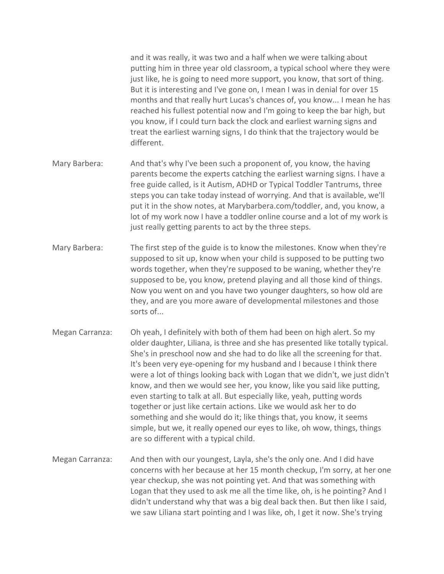and it was really, it was two and a half when we were talking about putting him in three year old classroom, a typical school where they were just like, he is going to need more support, you know, that sort of thing. But it is interesting and I've gone on, I mean I was in denial for over 15 months and that really hurt Lucas's chances of, you know... I mean he has reached his fullest potential now and I'm going to keep the bar high, but you know, if I could turn back the clock and earliest warning signs and treat the earliest warning signs, I do think that the trajectory would be different.

- Mary Barbera: And that's why I've been such a proponent of, you know, the having parents become the experts catching the earliest warning signs. I have a free guide called, is it Autism, ADHD or Typical Toddler Tantrums, three steps you can take today instead of worrying. And that is available, we'll put it in the show notes, at Marybarbera.com/toddler, and, you know, a lot of my work now I have a toddler online course and a lot of my work is just really getting parents to act by the three steps.
- Mary Barbera: The first step of the guide is to know the milestones. Know when they're supposed to sit up, know when your child is supposed to be putting two words together, when they're supposed to be waning, whether they're supposed to be, you know, pretend playing and all those kind of things. Now you went on and you have two younger daughters, so how old are they, and are you more aware of developmental milestones and those sorts of...
- Megan Carranza: Oh yeah, I definitely with both of them had been on high alert. So my older daughter, Liliana, is three and she has presented like totally typical. She's in preschool now and she had to do like all the screening for that. It's been very eye-opening for my husband and I because I think there were a lot of things looking back with Logan that we didn't, we just didn't know, and then we would see her, you know, like you said like putting, even starting to talk at all. But especially like, yeah, putting words together or just like certain actions. Like we would ask her to do something and she would do it; like things that, you know, it seems simple, but we, it really opened our eyes to like, oh wow, things, things are so different with a typical child.
- Megan Carranza: And then with our youngest, Layla, she's the only one. And I did have concerns with her because at her 15 month checkup, I'm sorry, at her one year checkup, she was not pointing yet. And that was something with Logan that they used to ask me all the time like, oh, is he pointing? And I didn't understand why that was a big deal back then. But then like I said, we saw Liliana start pointing and I was like, oh, I get it now. She's trying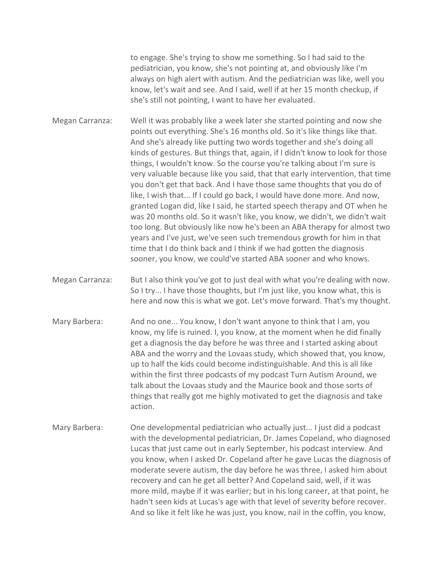to engage. She's trying to show me something. So I had said to the pediatrician, you know, she's not pointing at, and obviously like I'm always on high alert with autism. And the pediatrician was like, well you know, let's wait and see. And I said, well if at her 15 month checkup, if she's still not pointing, I want to have her evaluated.

Megan Carranza: Well it was probably like a week later she started pointing and now she points out everything. She's 16 months old. So it's like things like that. And she's already like putting two words together and she's doing all kinds of gestures. But things that, again, if I didn't know to look for those things, I wouldn't know. So the course you're talking about I'm sure is very valuable because like you said, that that early intervention, that time you don't get that back. And I have those same thoughts that you do of like, I wish that... If I could go back, I would have done more. And now, granted Logan did, like I said, he started speech therapy and OT when he was 20 months old. So it wasn't like, you know, we didn't, we didn't wait too long. But obviously like now he's been an ABA therapy for almost two years and I've just, we've seen such tremendous growth for him in that time that I do think back and I think if we had gotten the diagnosis sooner, you know, we could've started ABA sooner and who knows.

Megan Carranza: But I also think you've got to just deal with what you're dealing with now. So I try... I have those thoughts, but I'm just like, you know what, this is here and now this is what we got. Let's move forward. That's my thought.

- Mary Barbera: And no one... You know, I don't want anyone to think that I am, you know, my life is ruined. I, you know, at the moment when he did finally get a diagnosis the day before he was three and I started asking about ABA and the worry and the Lovaas study, which showed that, you know, up to half the kids could become indistinguishable. And this is all like within the first three podcasts of my podcast Turn Autism Around, we talk about the Lovaas study and the Maurice book and those sorts of things that really got me highly motivated to get the diagnosis and take action.
- Mary Barbera: One developmental pediatrician who actually just... I just did a podcast with the developmental pediatrician, Dr. James Copeland, who diagnosed Lucas that just came out in early September, his podcast interview. And you know, when I asked Dr. Copeland after he gave Lucas the diagnosis of moderate severe autism, the day before he was three, I asked him about recovery and can he get all better? And Copeland said, well, if it was more mild, maybe if it was earlier; but in his long career, at that point, he hadn't seen kids at Lucas's age with that level of severity before recover. And so like it felt like he was just, you know, nail in the coffin, you know,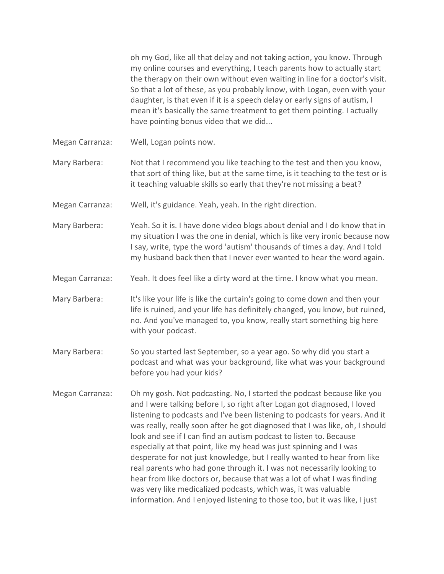oh my God, like all that delay and not taking action, you know. Through my online courses and everything, I teach parents how to actually start the therapy on their own without even waiting in line for a doctor's visit. So that a lot of these, as you probably know, with Logan, even with your daughter, is that even if it is a speech delay or early signs of autism, I mean it's basically the same treatment to get them pointing. I actually have pointing bonus video that we did...

Megan Carranza: Well, Logan points now.

Mary Barbera: Not that I recommend you like teaching to the test and then you know, that sort of thing like, but at the same time, is it teaching to the test or is it teaching valuable skills so early that they're not missing a beat?

Megan Carranza: Well, it's guidance. Yeah, yeah. In the right direction.

Mary Barbera: Yeah. So it is. I have done video blogs about denial and I do know that in my situation I was the one in denial, which is like very ironic because now I say, write, type the word 'autism' thousands of times a day. And I told my husband back then that I never ever wanted to hear the word again.

Megan Carranza: Yeah. It does feel like a dirty word at the time. I know what you mean.

Mary Barbera: It's like your life is like the curtain's going to come down and then your life is ruined, and your life has definitely changed, you know, but ruined, no. And you've managed to, you know, really start something big here with your podcast.

- Mary Barbera: So you started last September, so a year ago. So why did you start a podcast and what was your background, like what was your background before you had your kids?
- Megan Carranza: Oh my gosh. Not podcasting. No, I started the podcast because like you and I were talking before I, so right after Logan got diagnosed, I loved listening to podcasts and I've been listening to podcasts for years. And it was really, really soon after he got diagnosed that I was like, oh, I should look and see if I can find an autism podcast to listen to. Because especially at that point, like my head was just spinning and I was desperate for not just knowledge, but I really wanted to hear from like real parents who had gone through it. I was not necessarily looking to hear from like doctors or, because that was a lot of what I was finding was very like medicalized podcasts, which was, it was valuable information. And I enjoyed listening to those too, but it was like, I just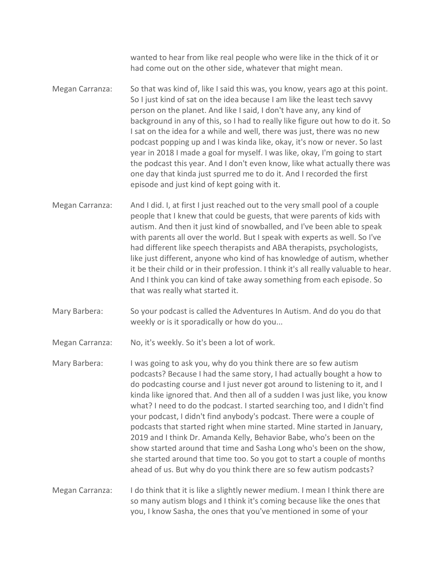wanted to hear from like real people who were like in the thick of it or had come out on the other side, whatever that might mean.

- Megan Carranza: So that was kind of, like I said this was, you know, years ago at this point. So I just kind of sat on the idea because I am like the least tech savvy person on the planet. And like I said, I don't have any, any kind of background in any of this, so I had to really like figure out how to do it. So I sat on the idea for a while and well, there was just, there was no new podcast popping up and I was kinda like, okay, it's now or never. So last year in 2018 I made a goal for myself. I was like, okay, I'm going to start the podcast this year. And I don't even know, like what actually there was one day that kinda just spurred me to do it. And I recorded the first episode and just kind of kept going with it.
- Megan Carranza: And I did. I, at first I just reached out to the very small pool of a couple people that I knew that could be guests, that were parents of kids with autism. And then it just kind of snowballed, and I've been able to speak with parents all over the world. But I speak with experts as well. So I've had different like speech therapists and ABA therapists, psychologists, like just different, anyone who kind of has knowledge of autism, whether it be their child or in their profession. I think it's all really valuable to hear. And I think you can kind of take away something from each episode. So that was really what started it.
- Mary Barbera: So your podcast is called the Adventures In Autism. And do you do that weekly or is it sporadically or how do you...

Megan Carranza: No, it's weekly. So it's been a lot of work.

Mary Barbera: I was going to ask you, why do you think there are so few autism podcasts? Because I had the same story, I had actually bought a how to do podcasting course and I just never got around to listening to it, and I kinda like ignored that. And then all of a sudden I was just like, you know what? I need to do the podcast. I started searching too, and I didn't find your podcast, I didn't find anybody's podcast. There were a couple of podcasts that started right when mine started. Mine started in January, 2019 and I think Dr. Amanda Kelly, Behavior Babe, who's been on the show started around that time and Sasha Long who's been on the show, she started around that time too. So you got to start a couple of months ahead of us. But why do you think there are so few autism podcasts?

Megan Carranza: I do think that it is like a slightly newer medium. I mean I think there are so many autism blogs and I think it's coming because like the ones that you, I know Sasha, the ones that you've mentioned in some of your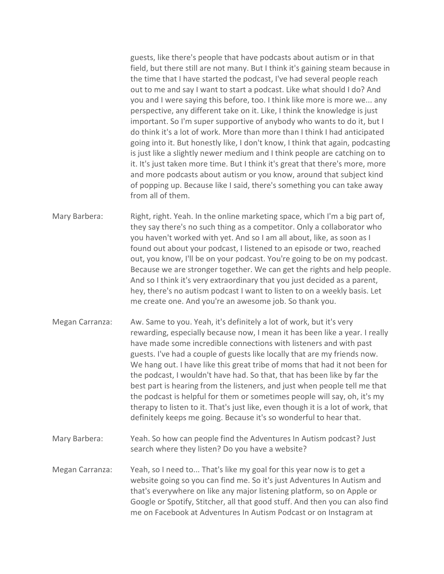guests, like there's people that have podcasts about autism or in that field, but there still are not many. But I think it's gaining steam because in the time that I have started the podcast, I've had several people reach out to me and say I want to start a podcast. Like what should I do? And you and I were saying this before, too. I think like more is more we... any perspective, any different take on it. Like, I think the knowledge is just important. So I'm super supportive of anybody who wants to do it, but I do think it's a lot of work. More than more than I think I had anticipated going into it. But honestly like, I don't know, I think that again, podcasting is just like a slightly newer medium and I think people are catching on to it. It's just taken more time. But I think it's great that there's more, more and more podcasts about autism or you know, around that subject kind of popping up. Because like I said, there's something you can take away from all of them.

Mary Barbera: Right, right. Yeah. In the online marketing space, which I'm a big part of, they say there's no such thing as a competitor. Only a collaborator who you haven't worked with yet. And so I am all about, like, as soon as I found out about your podcast, I listened to an episode or two, reached out, you know, I'll be on your podcast. You're going to be on my podcast. Because we are stronger together. We can get the rights and help people. And so I think it's very extraordinary that you just decided as a parent, hey, there's no autism podcast I want to listen to on a weekly basis. Let me create one. And you're an awesome job. So thank you.

- Megan Carranza: Aw. Same to you. Yeah, it's definitely a lot of work, but it's very rewarding, especially because now, I mean it has been like a year. I really have made some incredible connections with listeners and with past guests. I've had a couple of guests like locally that are my friends now. We hang out. I have like this great tribe of moms that had it not been for the podcast, I wouldn't have had. So that, that has been like by far the best part is hearing from the listeners, and just when people tell me that the podcast is helpful for them or sometimes people will say, oh, it's my therapy to listen to it. That's just like, even though it is a lot of work, that definitely keeps me going. Because it's so wonderful to hear that.
- Mary Barbera: Yeah. So how can people find the Adventures In Autism podcast? Just search where they listen? Do you have a website?
- Megan Carranza: Yeah, so I need to... That's like my goal for this year now is to get a website going so you can find me. So it's just Adventures In Autism and that's everywhere on like any major listening platform, so on Apple or Google or Spotify, Stitcher, all that good stuff. And then you can also find me on Facebook at Adventures In Autism Podcast or on Instagram at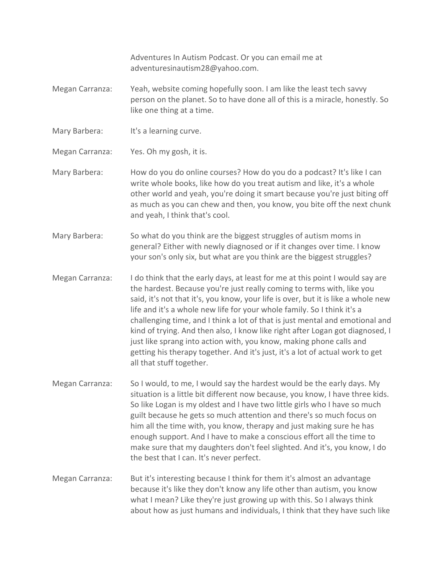Adventures In Autism Podcast. Or you can email me at adventuresinautism28@yahoo.com.

- Megan Carranza: Yeah, website coming hopefully soon. I am like the least tech savvy person on the planet. So to have done all of this is a miracle, honestly. So like one thing at a time.
- Mary Barbera: It's a learning curve.
- Megan Carranza: Yes. Oh my gosh, it is.
- Mary Barbera: How do you do online courses? How do you do a podcast? It's like I can write whole books, like how do you treat autism and like, it's a whole other world and yeah, you're doing it smart because you're just biting off as much as you can chew and then, you know, you bite off the next chunk and yeah, I think that's cool.
- Mary Barbera: So what do you think are the biggest struggles of autism moms in general? Either with newly diagnosed or if it changes over time. I know your son's only six, but what are you think are the biggest struggles?
- Megan Carranza: I do think that the early days, at least for me at this point I would say are the hardest. Because you're just really coming to terms with, like you said, it's not that it's, you know, your life is over, but it is like a whole new life and it's a whole new life for your whole family. So I think it's a challenging time, and I think a lot of that is just mental and emotional and kind of trying. And then also, I know like right after Logan got diagnosed, I just like sprang into action with, you know, making phone calls and getting his therapy together. And it's just, it's a lot of actual work to get all that stuff together.
- Megan Carranza: So I would, to me, I would say the hardest would be the early days. My situation is a little bit different now because, you know, I have three kids. So like Logan is my oldest and I have two little girls who I have so much guilt because he gets so much attention and there's so much focus on him all the time with, you know, therapy and just making sure he has enough support. And I have to make a conscious effort all the time to make sure that my daughters don't feel slighted. And it's, you know, I do the best that I can. It's never perfect.
- Megan Carranza: But it's interesting because I think for them it's almost an advantage because it's like they don't know any life other than autism, you know what I mean? Like they're just growing up with this. So I always think about how as just humans and individuals, I think that they have such like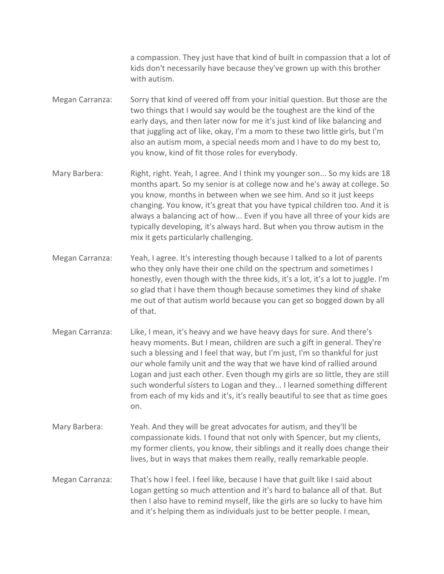a compassion. They just have that kind of built in compassion that a lot of kids don't necessarily have because they've grown up with this brother with autism.

- Megan Carranza: Sorry that kind of veered off from your initial question. But those are the two things that I would say would be the toughest are the kind of the early days, and then later now for me it's just kind of like balancing and that juggling act of like, okay, I'm a mom to these two little girls, but I'm also an autism mom, a special needs mom and I have to do my best to, you know, kind of fit those roles for everybody.
- Mary Barbera: Right, right. Yeah, I agree. And I think my younger son... So my kids are 18 months apart. So my senior is at college now and he's away at college. So you know, months in between when we see him. And so it just keeps changing. You know, it's great that you have typical children too. And it is always a balancing act of how... Even if you have all three of your kids are typically developing, it's always hard. But when you throw autism in the mix it gets particularly challenging.
- Megan Carranza: Yeah, I agree. It's interesting though because I talked to a lot of parents who they only have their one child on the spectrum and sometimes I honestly, even though with the three kids, it's a lot, it's a lot to juggle. I'm so glad that I have them though because sometimes they kind of shake me out of that autism world because you can get so bogged down by all of that.
- Megan Carranza: Like, I mean, it's heavy and we have heavy days for sure. And there's heavy moments. But I mean, children are such a gift in general. They're such a blessing and I feel that way, but I'm just, I'm so thankful for just our whole family unit and the way that we have kind of rallied around Logan and just each other. Even though my girls are so little, they are still such wonderful sisters to Logan and they... I learned something different from each of my kids and it's, it's really beautiful to see that as time goes on.
- Mary Barbera: Yeah. And they will be great advocates for autism, and they'll be compassionate kids. I found that not only with Spencer, but my clients, my former clients, you know, their siblings and it really does change their lives, but in ways that makes them really, really remarkable people.
- Megan Carranza: That's how I feel. I feel like, because I have that guilt like I said about Logan getting so much attention and it's hard to balance all of that. But then I also have to remind myself, like the girls are so lucky to have him and it's helping them as individuals just to be better people. I mean,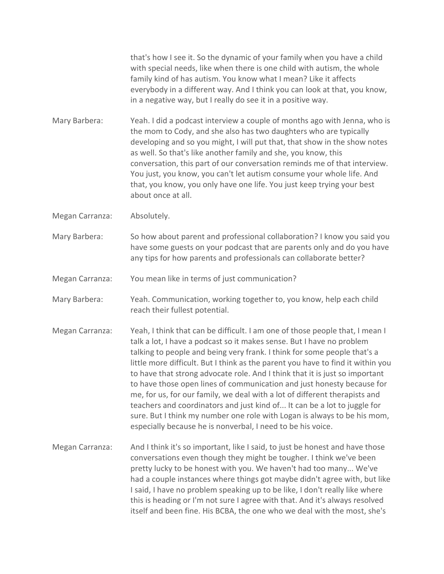that's how I see it. So the dynamic of your family when you have a child with special needs, like when there is one child with autism, the whole family kind of has autism. You know what I mean? Like it affects everybody in a different way. And I think you can look at that, you know, in a negative way, but I really do see it in a positive way.

Mary Barbera: Yeah. I did a podcast interview a couple of months ago with Jenna, who is the mom to Cody, and she also has two daughters who are typically developing and so you might, I will put that, that show in the show notes as well. So that's like another family and she, you know, this conversation, this part of our conversation reminds me of that interview. You just, you know, you can't let autism consume your whole life. And that, you know, you only have one life. You just keep trying your best about once at all.

Megan Carranza: Absolutely.

Mary Barbera: So how about parent and professional collaboration? I know you said you have some guests on your podcast that are parents only and do you have any tips for how parents and professionals can collaborate better?

Megan Carranza: You mean like in terms of just communication?

Mary Barbera: Yeah. Communication, working together to, you know, help each child reach their fullest potential.

- Megan Carranza: Yeah, I think that can be difficult. I am one of those people that, I mean I talk a lot, I have a podcast so it makes sense. But I have no problem talking to people and being very frank. I think for some people that's a little more difficult. But I think as the parent you have to find it within you to have that strong advocate role. And I think that it is just so important to have those open lines of communication and just honesty because for me, for us, for our family, we deal with a lot of different therapists and teachers and coordinators and just kind of... It can be a lot to juggle for sure. But I think my number one role with Logan is always to be his mom, especially because he is nonverbal, I need to be his voice.
- Megan Carranza: And I think it's so important, like I said, to just be honest and have those conversations even though they might be tougher. I think we've been pretty lucky to be honest with you. We haven't had too many... We've had a couple instances where things got maybe didn't agree with, but like I said, I have no problem speaking up to be like, I don't really like where this is heading or I'm not sure I agree with that. And it's always resolved itself and been fine. His BCBA, the one who we deal with the most, she's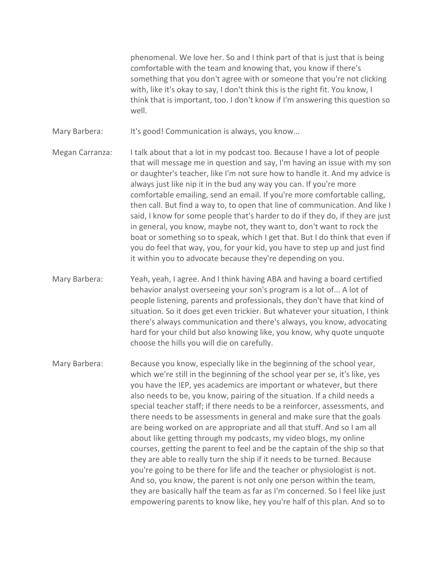phenomenal. We love her. So and I think part of that is just that is being comfortable with the team and knowing that, you know if there's something that you don't agree with or someone that you're not clicking with, like it's okay to say, I don't think this is the right fit. You know, I think that is important, too. I don't know if I'm answering this question so well.

Mary Barbera: It's good! Communication is always, you know...

Megan Carranza: I talk about that a lot in my podcast too. Because I have a lot of people that will message me in question and say, I'm having an issue with my son or daughter's teacher, like I'm not sure how to handle it. And my advice is always just like nip it in the bud any way you can. If you're more comfortable emailing, send an email. If you're more comfortable calling, then call. But find a way to, to open that line of communication. And like I said, I know for some people that's harder to do if they do, if they are just in general, you know, maybe not, they want to, don't want to rock the boat or something so to speak, which I get that. But I do think that even if you do feel that way, you, for your kid, you have to step up and just find it within you to advocate because they're depending on you.

Mary Barbera: Yeah, yeah, I agree. And I think having ABA and having a board certified behavior analyst overseeing your son's program is a lot of... A lot of people listening, parents and professionals, they don't have that kind of situation. So it does get even trickier. But whatever your situation, I think there's always communication and there's always, you know, advocating hard for your child but also knowing like, you know, why quote unquote choose the hills you will die on carefully.

Mary Barbera: Because you know, especially like in the beginning of the school year, which we're still in the beginning of the school year per se, it's like, yes you have the IEP, yes academics are important or whatever, but there also needs to be, you know, pairing of the situation. If a child needs a special teacher staff; if there needs to be a reinforcer, assessments, and there needs to be assessments in general and make sure that the goals are being worked on are appropriate and all that stuff. And so I am all about like getting through my podcasts, my video blogs, my online courses, getting the parent to feel and be the captain of the ship so that they are able to really turn the ship if it needs to be turned. Because you're going to be there for life and the teacher or physiologist is not. And so, you know, the parent is not only one person within the team, they are basically half the team as far as I'm concerned. So I feel like just empowering parents to know like, hey you're half of this plan. And so to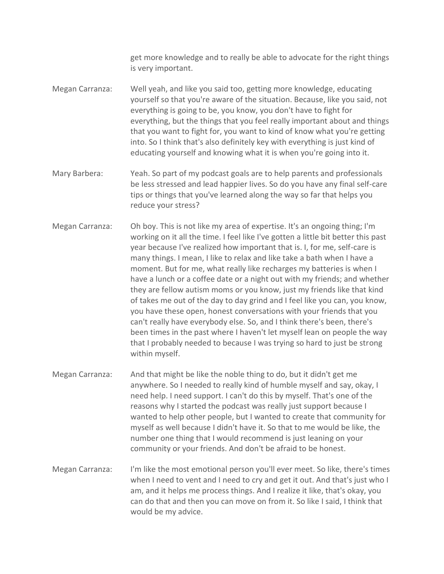get more knowledge and to really be able to advocate for the right things is very important.

Megan Carranza: Well yeah, and like you said too, getting more knowledge, educating yourself so that you're aware of the situation. Because, like you said, not everything is going to be, you know, you don't have to fight for everything, but the things that you feel really important about and things that you want to fight for, you want to kind of know what you're getting into. So I think that's also definitely key with everything is just kind of educating yourself and knowing what it is when you're going into it.

- Mary Barbera: Yeah. So part of my podcast goals are to help parents and professionals be less stressed and lead happier lives. So do you have any final self-care tips or things that you've learned along the way so far that helps you reduce your stress?
- Megan Carranza: Oh boy. This is not like my area of expertise. It's an ongoing thing; I'm working on it all the time. I feel like I've gotten a little bit better this past year because I've realized how important that is. I, for me, self-care is many things. I mean, I like to relax and like take a bath when I have a moment. But for me, what really like recharges my batteries is when I have a lunch or a coffee date or a night out with my friends; and whether they are fellow autism moms or you know, just my friends like that kind of takes me out of the day to day grind and I feel like you can, you know, you have these open, honest conversations with your friends that you can't really have everybody else. So, and I think there's been, there's been times in the past where I haven't let myself lean on people the way that I probably needed to because I was trying so hard to just be strong within myself.
- Megan Carranza: And that might be like the noble thing to do, but it didn't get me anywhere. So I needed to really kind of humble myself and say, okay, I need help. I need support. I can't do this by myself. That's one of the reasons why I started the podcast was really just support because I wanted to help other people, but I wanted to create that community for myself as well because I didn't have it. So that to me would be like, the number one thing that I would recommend is just leaning on your community or your friends. And don't be afraid to be honest.
- Megan Carranza: I'm like the most emotional person you'll ever meet. So like, there's times when I need to vent and I need to cry and get it out. And that's just who I am, and it helps me process things. And I realize it like, that's okay, you can do that and then you can move on from it. So like I said, I think that would be my advice.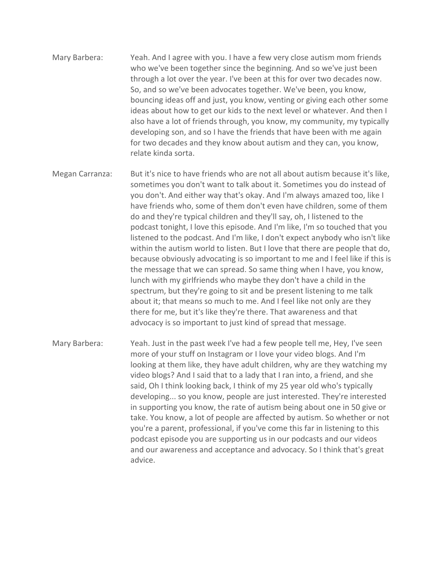- Mary Barbera: Yeah. And I agree with you. I have a few very close autism mom friends who we've been together since the beginning. And so we've just been through a lot over the year. I've been at this for over two decades now. So, and so we've been advocates together. We've been, you know, bouncing ideas off and just, you know, venting or giving each other some ideas about how to get our kids to the next level or whatever. And then I also have a lot of friends through, you know, my community, my typically developing son, and so I have the friends that have been with me again for two decades and they know about autism and they can, you know, relate kinda sorta.
- Megan Carranza: But it's nice to have friends who are not all about autism because it's like, sometimes you don't want to talk about it. Sometimes you do instead of you don't. And either way that's okay. And I'm always amazed too, like I have friends who, some of them don't even have children, some of them do and they're typical children and they'll say, oh, I listened to the podcast tonight, I love this episode. And I'm like, I'm so touched that you listened to the podcast. And I'm like, I don't expect anybody who isn't like within the autism world to listen. But I love that there are people that do, because obviously advocating is so important to me and I feel like if this is the message that we can spread. So same thing when I have, you know, lunch with my girlfriends who maybe they don't have a child in the spectrum, but they're going to sit and be present listening to me talk about it; that means so much to me. And I feel like not only are they there for me, but it's like they're there. That awareness and that advocacy is so important to just kind of spread that message.
- Mary Barbera: Yeah. Just in the past week I've had a few people tell me, Hey, I've seen more of your stuff on Instagram or I love your video blogs. And I'm looking at them like, they have adult children, why are they watching my video blogs? And I said that to a lady that I ran into, a friend, and she said, Oh I think looking back, I think of my 25 year old who's typically developing... so you know, people are just interested. They're interested in supporting you know, the rate of autism being about one in 50 give or take. You know, a lot of people are affected by autism. So whether or not you're a parent, professional, if you've come this far in listening to this podcast episode you are supporting us in our podcasts and our videos and our awareness and acceptance and advocacy. So I think that's great advice.